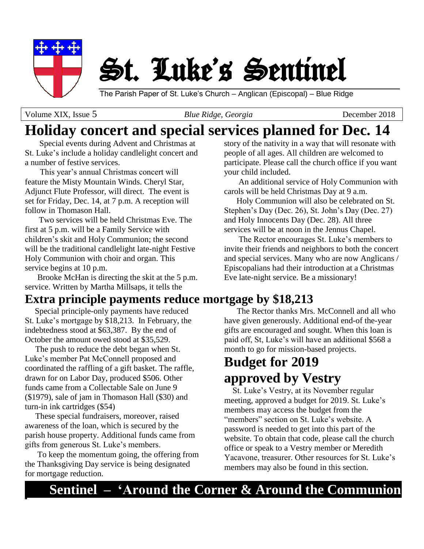

St. Luke's Sentinel

The Parish Paper of St. Luke's Church – Anglican (Episcopal) – Blue Ridge

Volume XIX, Issue 5*Blue Ridge, Georgia*December 2018

# **Holiday concert and special services planned for Dec. 14**

 Special events during Advent and Christmas at St. Luke's include a holiday candlelight concert and a number of festive services.

This year's annual Christmas concert will feature the Misty Mountain Winds. Cheryl Star, Adjunct Flute Professor, will direct. The event is set for Friday, Dec. 14, at 7 p.m. A reception will follow in Thomason Hall.

 Two services will be held Christmas Eve. The first at 5 p.m. will be a Family Service with children's skit and Holy Communion; the second will be the traditional candlelight late-night Festive Holy Communion with choir and organ. This service begins at 10 p.m.

 Brooke McHan is directing the skit at the 5 p.m. service. Written by Martha Millsaps, it tells the

### **Extra principle payments reduce mortgage by \$18,213**

 Special principle-only payments have reduced St. Luke's mortgage by \$18,213. In February, the indebtedness stood at \$63,387. By the end of October the amount owed stood at \$35,529.

 The push to reduce the debt began when St. Luke's member Pat McConnell proposed and coordinated the raffling of a gift basket. The raffle, drawn for on Labor Day, produced \$506. Other funds came from a Collectable Sale on June 9 (\$1979), sale of jam in Thomason Hall (\$30) and turn-in ink cartridges (\$54)

 These special fundraisers, moreover, raised awareness of the loan, which is secured by the parish house property. Additional funds came from gifts from generous St. Luke's members.

 To keep the momentum going, the offering from the Thanksgiving Day service is being designated for mortgage reduction.

story of the nativity in a way that will resonate with people of all ages. All children are welcomed to participate. Please call the church office if you want your child included.

 An additional service of Holy Communion with carols will be held Christmas Day at 9 a.m.

 Holy Communion will also be celebrated on St. Stephen's Day (Dec. 26), St. John's Day (Dec. 27) and Holy Innocents Day (Dec. 28). All three services will be at noon in the Jennus Chapel.

 The Rector encourages St. Luke's members to invite their friends and neighbors to both the concert and special services. Many who are now Anglicans / Episcopalians had their introduction at a Christmas Eve late-night service. Be a missionary!

 The Rector thanks Mrs. McConnell and all who have given generously. Additional end-of the-year gifts are encouraged and sought. When this loan is paid off, St, Luke's will have an additional \$568 a month to go for mission-based projects.

# **Budget for 2019 approved by Vestry**

 St. Luke's Vestry, at its November regular meeting, approved a budget for 2019. St. Luke's members may access the budget from the "members" section on St. Luke's website. A password is needed to get into this part of the website. To obtain that code, please call the church office or speak to a Vestry member or Meredith Yacavone, treasurer. Other resources for St. Luke's members may also be found in this section.

## **Sentinel – 'Around the Corner & Around the Communion**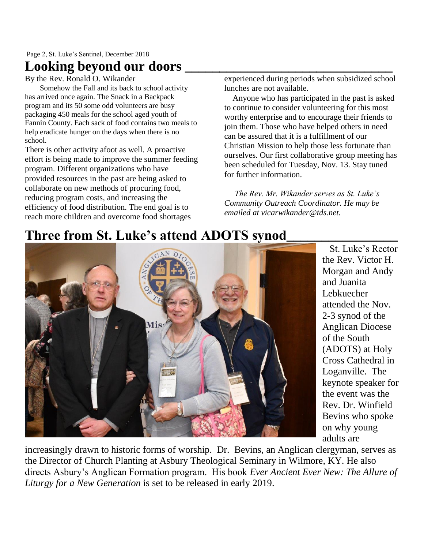## Looking beyond our doors

By the Rev. Ronald O. Wikander

Somehow the Fall and its back to school activity has arrived once again. The Snack in a Backpack program and its 50 some odd volunteers are busy packaging 450 meals for the school aged youth of Fannin County. Each sack of food contains two meals to help eradicate hunger on the days when there is no school.

There is other activity afoot as well. A proactive effort is being made to improve the summer feeding program. Different organizations who have provided resources in the past are being asked to collaborate on new methods of procuring food, reducing program costs, and increasing the efficiency of food distribution. The end goal is to reach more children and overcome food shortages

experienced during periods when subsidized school lunches are not available.

 Anyone who has participated in the past is asked to continue to consider volunteering for this most worthy enterprise and to encourage their friends to join them. Those who have helped others in need can be assured that it is a fulfillment of our Christian Mission to help those less fortunate than ourselves. Our first collaborative group meeting has been scheduled for Tuesday, Nov. 13. Stay tuned for further information.

 *The Rev. Mr. Wikander serves as St. Luke's Community Outreach Coordinator. He may be emailed at vicarwikander@tds.net.*

# **Three from St. Luke's attend ADOTS synod\_\_\_\_\_\_\_\_\_\_\_\_\_\_\_\_**



 St. Luke's Rector the Rev. Victor H. Morgan and Andy and Juanita Lebkuecher attended the Nov. 2-3 synod of the Anglican Diocese of the South (ADOTS) at Holy Cross Cathedral in Loganville. The keynote speaker for the event was the Rev. Dr. Winfield Bevins who spoke on why young adults are

increasingly drawn to historic forms of worship. Dr. Bevins, an Anglican clergyman, serves as the Director of Church Planting at Asbury Theological Seminary in Wilmore, KY. He also directs Asbury's Anglican Formation program. His book *Ever Ancient Ever New: The Allure of Liturgy for a New Generation* is set to be released in early 2019.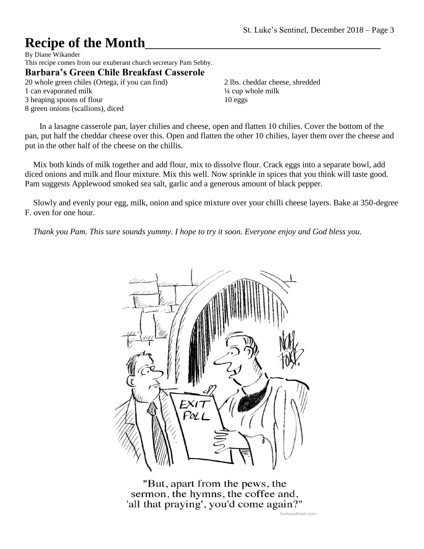# **Recipe of the Month**\_\_\_\_\_\_\_\_\_\_\_\_\_\_\_\_\_\_\_\_\_\_\_\_\_\_\_\_\_\_\_\_\_\_

By Diane Wikander This recipe comes from our exuberant church secretary Pam Sebby. **Barbara's Green Chile Breakfast Casserole** 20 whole green chiles (Ortega, if you can find) 1 can evaporated milk 3 heaping spoons of flour

8 green onions (scallions), diced

2 lbs. cheddar cheese, shredded ¼ cup whole milk 10 eggs

 In a lasagne casserole pan, layer chilies and cheese, open and flatten 10 chilies. Cover the bottom of the pan, put half the cheddar cheese over this. Open and flatten the other 10 chilies, layer them over the cheese and put in the other half of the cheese on the chillis.

 Mix both kinds of milk together and add flour, mix to dissolve flour. Crack eggs into a separate bowl, add diced onions and milk and flour mixture. Mix this well. Now sprinkle in spices that you think will taste good. Pam suggests Applewood smoked sea salt, garlic and a generous amount of black pepper.

 Slowly and evenly pour egg, milk, onion and spice mixture over your chilli cheese layers. Bake at 350-degree F. oven for one hour.

 *Thank you Pam. This sure sounds yummy. I hope to try it soon. Everyone enjoy and God bless you.* 



"But, apart from the pews, the sermon, the hymns, the coffee and, 'all that praying', you'd come again?" CartoonStock.com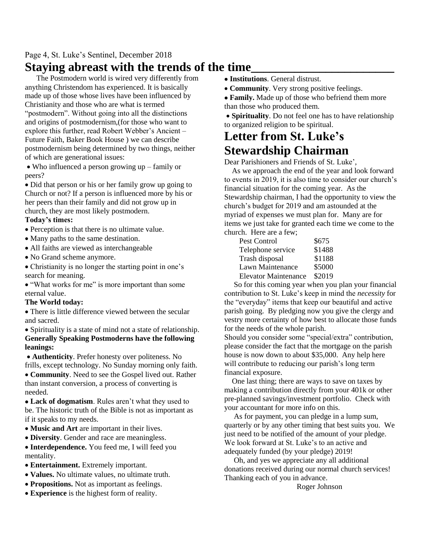#### Page 4, St. Luke's Sentinel, December 2018

### **Staying abreast with the trends of the time\_\_\_\_\_\_\_\_\_\_\_\_\_\_\_\_\_\_\_\_\_\_\_**

 The Postmodern world is wired very differently from anything Christendom has experienced. It is basically made up of those whose lives have been influenced by Christianity and those who are what is termed "postmodern". Without going into all the distinctions and origins of postmodernism,(for those who want to explore this further, read Robert Webber's Ancient – Future Faith, Baker Book House ) we can describe postmodernism being determined by two things, neither of which are generational issues:

• Who influenced a person growing up – family or peers?

• Did that person or his or her family grow up going to Church or not? If a person is influenced more by his or her peers than their family and did not grow up in church, they are most likely postmodern.

#### **Today's times:**

- Perception is that there is no ultimate value.
- Many paths to the same destination.
- All faiths are viewed as interchangeable
- No Grand scheme anymore.

• Christianity is no longer the starting point in one's search for meaning.

• "What works for me" is more important than some eternal value.

#### **The World today:**

• There is little difference viewed between the secular and sacred.

• Spirituality is a state of mind not a state of relationship. **Generally Speaking Postmoderns have the following leanings:**

• **Authenticity**. Prefer honesty over politeness. No frills, except technology. No Sunday morning only faith.

• **Community**. Need to see the Gospel lived out. Rather than instant conversion, a process of converting is needed.

• **Lack of dogmatism**. Rules aren't what they used to be. The historic truth of the Bible is not as important as if it speaks to my needs.

- **Music and Art** are important in their lives.
- **Diversity**. Gender and race are meaningless.

• **Interdependence.** You feed me, I will feed you mentality.

- **Entertainment.** Extremely important.
- **Values.** No ultimate values, no ultimate truth.
- **Propositions.** Not as important as feelings.
- **Experience** is the highest form of reality.
- **Institutions**. General distrust.
- **Community**. Very strong positive feelings.
- **Family.** Made up of those who befriend them more than those who produced them.

• **Spirituality**. Do not feel one has to have relationship to organized religion to be spiritual.

#### **Letter from St. Luke's Stewardship Chairman**

Dear Parishioners and Friends of St. Luke',

 As we approach the end of the year and look forward to events in 2019, it is also time to consider our church's financial situation for the coming year. As the Stewardship chairman, I had the opportunity to view the church's budget for 2019 and am astounded at the myriad of expenses we must plan for. Many are for items we just take for granted each time we come to the church. Here are a few;

| $\frac{1}{2}$               |        |
|-----------------------------|--------|
| Pest Control                | \$675  |
| Telephone service           | \$1488 |
| Trash disposal              | \$1188 |
| Lawn Maintenance            | \$5000 |
| <b>Elevator Maintenance</b> | \$2019 |
|                             |        |

 So for this coming year when you plan your financial contribution to St. Luke's keep in mind the *necessity* for the "everyday" items that keep our beautiful and active parish going. By pledging now you give the clergy and vestry more certainty of how best to allocate those funds for the needs of the whole parish.

Should you consider some "special/extra" contribution, please consider the fact that the mortgage on the parish house is now down to about \$35,000. Any help here will contribute to reducing our parish's long term financial exposure.

 One last thing; there are ways to save on taxes by making a contribution directly from your 401k or other pre-planned savings/investment portfolio. Check with your accountant for more info on this.

 As for payment, you can pledge in a lump sum, quarterly or by any other timing that best suits you. We just need to be notified of the amount of your pledge. We look forward at St. Luke's to an active and adequately funded (by your pledge) 2019!

 Oh, and yes we appreciate any all additional donations received during our normal church services! Thanking each of you in advance.

Roger Johnson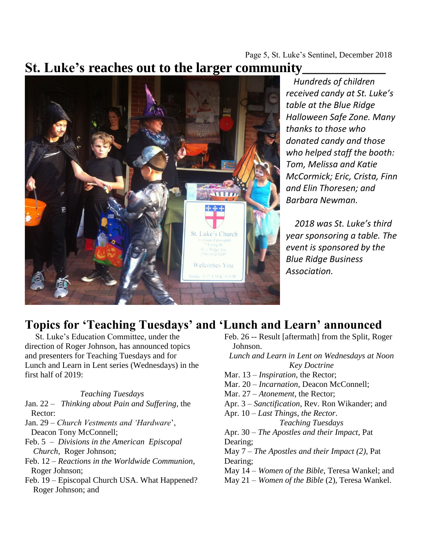Page 5, St. Luke's Sentinel, December 2018

## **St. Luke's reaches out to the larger community\_\_\_\_\_\_\_\_\_\_\_\_**



 *Hundreds of children received candy at St. Luke's table at the Blue Ridge Halloween Safe Zone. Many thanks to those who donated candy and those who helped staff the booth: Tom, Melissa and Katie McCormick; Eric, Crista, Finn and Elin Thoresen; and Barbara Newman.*

 *2018 was St. Luke's third year sponsoring a table. The event is sponsored by the Blue Ridge Business Association.* 

### **Topics for 'Teaching Tuesdays' and 'Lunch and Learn' announced**

 St. Luke's Education Committee, under the direction of Roger Johnson, has announced topics and presenters for Teaching Tuesdays and for Lunch and Learn in Lent series (Wednesdays) in the first half of 2019:

*Teaching Tuesdays* Jan. 22 – *Thinking about Pain and Suffering*, the

 Rector: Jan. 29 – *Church Vestments and 'Hardware*',

 Deacon Tony McConnell; Feb. 5 – *Divisions in the American Episcopal Church*, Roger Johnson;

Feb. 12 – *Reactions in the Worldwide Communion*, Roger Johnson;

Feb. 19 – Episcopal Church USA. What Happened? Roger Johnson; and

Feb. 26 -- Result [aftermath] from the Split, Roger Johnson. *Lunch and Learn in Lent on Wednesdays at Noon Key Doctrine* Mar. 13 – *Inspiration*, the Rector; Mar. 20 – *Incarnation*, Deacon McConnell; Mar. 27 – *Atonement*, the Rector; Apr. 3 – *Sanctification*, Rev. Ron Wikander; and Apr. 10 – *Last Things, the Rector*. *Teaching Tuesdays* Apr. 30 – *The Apostles and their Impact*, Pat Dearing; May 7 – *The Apostles and their Impact (2)*, Pat Dearing; May 14 – *Women of the Bible*, Teresa Wankel; and May 21 – *Women of the Bible* (2), Teresa Wankel.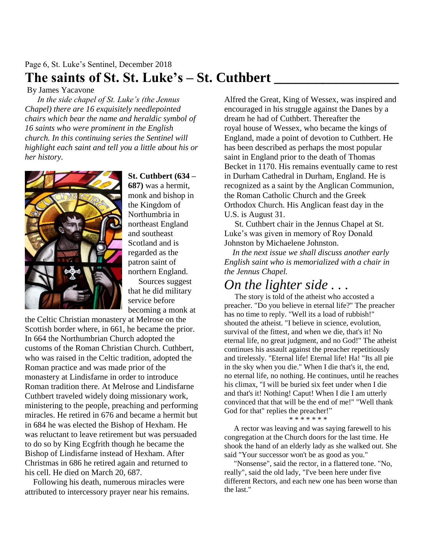#### Page 6, St. Luke's Sentinel, December 2018 **The saints of St. St. Luke's – St. Cuthbert \_\_\_\_\_\_\_\_\_\_\_\_\_\_\_\_\_\_**

By James Yacavone

 *In the side chapel of St. Luke's (the Jennus Chapel) there are 16 exquisitely needlepointed chairs which bear the name and heraldic symbol of 16 saints who were prominent in the English church. In this continuing series the Sentinel will highlight each saint and tell you a little about his or her history.*



**St. Cuthbert (634 – 687)** was a hermit, monk and bishop in the Kingdom of Northumbria in northeast England and southeast Scotland and is regarded as the

patron saint of northern England. Sources suggest

that he did military service before becoming a monk at

the Celtic Christian monastery at Melrose on the Scottish border where, in 661, he became the prior. In 664 the Northumbrian Church adopted the customs of the Roman Christian Church. Cuthbert, who was raised in the Celtic tradition, adopted the Roman practice and was made prior of the monastery at Lindisfarne in order to introduce Roman tradition there. At Melrose and Lindisfarne Cuthbert traveled widely doing missionary work, ministering to the people, preaching and performing miracles. He retired in 676 and became a hermit but in 684 he was elected the Bishop of Hexham. He was reluctant to leave retirement but was persuaded to do so by King Ecgfrith though he became the Bishop of Lindisfarne instead of Hexham. After Christmas in 686 he retired again and returned to his cell. He died on March 20, 687.

 Following his death, numerous miracles were attributed to intercessory prayer near his remains. Alfred the Great, King of Wessex, was inspired and encouraged in his struggle against the Danes by a dream he had of Cuthbert. Thereafter the royal house of Wessex, who became the kings of England, made a point of devotion to Cuthbert. He has been described as perhaps the most popular saint in England prior to the death of Thomas Becket in 1170. His remains eventually came to rest in Durham Cathedral in Durham, England. He is recognized as a saint by the Anglican Communion, the Roman Catholic Church and the Greek Orthodox Church. His Anglican feast day in the U.S. is August 31.

 St. Cuthbert chair in the Jennus Chapel at St. Luke's was given in memory of Roy Donald Johnston by Michaelene Johnston.

 *In the next issue we shall discuss another early English saint who is memorialized with a chair in the Jennus Chapel.*

## *On the lighter side . . .*

 The story is told of the atheist who accosted a preacher. "Do you believe in eternal life?" The preacher has no time to reply. "Well its a load of rubbish!" shouted the atheist. "I believe in science, evolution, survival of the fittest, and when we die, that's it! No eternal life, no great judgment, and no God!" The atheist continues his assault against the preacher repetitiously and tirelessly. "Eternal life! Eternal life! Ha! "Its all pie in the sky when you die." When I die that's it, the end, no eternal life, no nothing. He continues, until he reaches his climax, "I will be buried six feet under when I die and that's it! Nothing! Caput! When I die I am utterly convinced that that will be the end of me!" "Well thank God for that" replies the preacher!"

#### \* \* \* \* \* \* \*

 A rector was leaving and was saying farewell to his congregation at the Church doors for the last time. He shook the hand of an elderly lady as she walked out. She said "Your successor won't be as good as you."

 "Nonsense", said the rector, in a flattered tone. "No, really", said the old lady, "I've been here under five different Rectors, and each new one has been worse than the last."*\**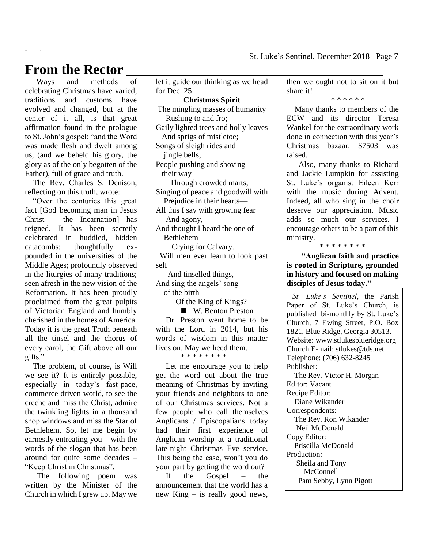#### **From the Rector \_\_\_\_\_\_\_\_\_\_\_\_\_\_\_\_\_\_\_\_\_\_\_\_\_\_\_\_\_\_\_\_\_\_\_\_\_**

 Ways and methods of celebrating Christmas have varied, traditions and customs have evolved and changed, but at the center of it all, is that great affirmation found in the prologue to St. John's gospel: "and the Word was made flesh and dwelt among us, (and we beheld his glory, the glory as of the only begotten of the Father), full of grace and truth.

 The Rev. Charles S. Denison, reflecting on this truth, wrote:

 "Over the centuries this great fact [God becoming man in Jesus Christ – the Incarnation] has reigned. It has been secretly celebrated in huddled, hidden catacombs; thoughtfully expounded in the universities of the Middle Ages; profoundly observed in the liturgies of many traditions; seen afresh in the new vision of the Reformation. It has been proudly proclaimed from the great pulpits of Victorian England and humbly cherished in the homes of America. Today it is the great Truth beneath all the tinsel and the chorus of every carol, the Gift above all our gifts."

 The problem, of course, is Will we see it? It is entirely possible, especially in today's fast-pace, commerce driven world, to see the creche and miss the Christ, admire the twinkling lights in a thousand shop windows and miss the Star of Bethlehem. So, let me begin by earnestly entreating you – with the words of the slogan that has been around for quite some decades – "Keep Christ in Christmas".

 The following poem was written by the Minister of the Church in which I grew up. May we let it guide our thinking as we head for Dec. 25:

#### **Christmas Spirit**

The mingling masses of humanity Rushing to and fro; Gaily lighted trees and holly leaves And sprigs of mistletoe; Songs of sleigh rides and jingle bells; People pushing and shoving their way Through crowded marts, Singing of peace and goodwill with Prejudice in their hearts— All this I say with growing fear And agony,

And thought I heard the one of Bethlehem

Crying for Calvary.

 Will men ever learn to look past self

 And tinselled things, And sing the angels' song of the birth

Of the King of Kings?

■ W. Benton Preston Dr. Preston went home to be with the Lord in 2014, but his words of wisdom in this matter lives on. May we heed them. \* \* \* \* \* \* \* \*

 Let me encourage you to help get the word out about the true meaning of Christmas by inviting your friends and neighbors to one of our Christmas services. Not a few people who call themselves Anglicans / Episcopalians today had their first experience of Anglican worship at a traditional late-night Christmas Eve service. This being the case, won't you do your part by getting the word out?

 If the Gospel – the announcement that the world has a new King – is really good news,

then we ought not to sit on it but share it!

\* \* \* \* \* \*

 Many thanks to members of the ECW and its director Teresa Wankel for the extraordinary work done in connection with this year's Christmas bazaar. \$7503 was raised.

 Also, many thanks to Richard and Jackie Lumpkin for assisting St. Luke's organist Eileen Kerr with the music during Advent. Indeed, all who sing in the choir deserve our appreciation. Music adds so much our services. I encourage others to be a part of this ministry.

\* \* \* \* \* \* \* \*

**"Anglican faith and practice is rooted in Scripture, grounded in history and focused on making disciples of Jesus today."**

 *St. Luke's Sentinel*, the Parish Paper of St. Luke's Church, is published bi-monthly by St. Luke's Church, 7 Ewing Street, P.O. Box 1821, Blue Ridge, Georgia 30513. Website: www.stlukesblueridge.org Church E-mail: stlukes@tds.net Telephone: (706) 632-8245 Publisher: The Rev. Victor H. Morgan Editor: Vacant Recipe Editor: Diane Wikander Correspondents: The Rev. Ron Wikander Neil McDonald Copy Editor: Priscilla McDonald Production: Sheila and Tony **McConnell** Pam Sebby, Lynn Pigott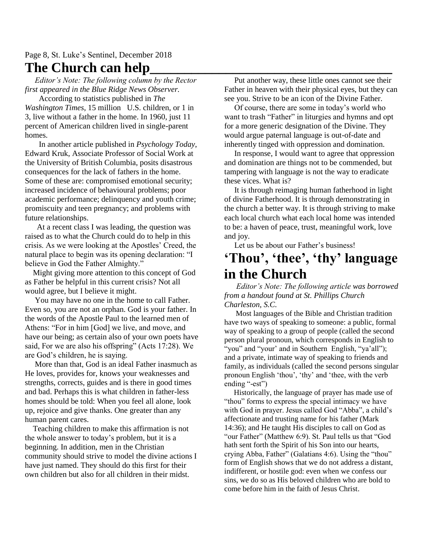#### Page 8, St. Luke's Sentinel, December 2018 **The Church can help\_\_\_\_\_\_\_\_\_\_\_\_\_\_\_\_\_\_\_\_\_\_\_\_\_\_\_\_\_\_\_\_\_\_\_**

 *Editor's Note: The following column by the Rector first appeared in the Blue Ridge News Observer.* 

 According to statistics published in *The Washington Times*, 15 million U.S. children, or 1 in 3, live without a father in the home. In 1960, just 11 percent of American children lived in single-parent homes.

 In another article published in *Psychology Today*, Edward Kruk, Associate Professor of Social Work at the University of British Columbia, posits disastrous consequences for the lack of fathers in the home. Some of these are: compromised emotional security; increased incidence of behavioural problems; poor academic performance; delinquency and youth crime; promiscuity and teen pregnancy; and problems with future relationships.

 At a recent class I was leading, the question was raised as to what the Church could do to help in this crisis. As we were looking at the Apostles' Creed, the natural place to begin was its opening declaration: "I believe in God the Father Almighty."

 Might giving more attention to this concept of God as Father be helpful in this current crisis? Not all would agree, but I believe it might.

 You may have no one in the home to call Father. Even so, you are not an orphan. God is your father. In the words of the Apostle Paul to the learned men of Athens: "For in him [God] we live, and move, and have our being; as certain also of your own poets have said, For we are also his offspring" (Acts 17:28). We are God's children, he is saying.

 More than that, God is an ideal Father inasmuch as He loves, provides for, knows your weaknesses and strengths, corrects, guides and is there in good times and bad. Perhaps this is what children in father-less homes should be told: When you feel all alone, look up, rejoice and give thanks. One greater than any human parent cares.

 Teaching children to make this affirmation is not the whole answer to today's problem, but it is a beginning. In addition, men in the Christian community should strive to model the divine actions I have just named. They should do this first for their own children but also for all children in their midst.

 Put another way, these little ones cannot see their Father in heaven with their physical eyes, but they can see you. Strive to be an icon of the Divine Father.

 Of course, there are some in today's world who want to trash "Father" in liturgies and hymns and opt for a more generic designation of the Divine. They would argue paternal language is out-of-date and inherently tinged with oppression and domination.

 In response, I would want to agree that oppression and domination are things not to be commended, but tampering with language is not the way to eradicate these vices. What is?

 It is through reimaging human fatherhood in light of divine Fatherhood. It is through demonstrating in the church a better way. It is through striving to make each local church what each local home was intended to be: a haven of peace, trust, meaningful work, love and joy.

Let us be about our Father's business!

## **'Thou', 'thee', 'thy' language in the Church**

 *Editor's Note: The following article was borrowed from a handout found at St. Phillips Church Charleston, S.C.*

 Most languages of the Bible and Christian tradition have two ways of speaking to someone: a public, formal way of speaking to a group of people (called the second person plural pronoun, which corresponds in English to "you" and "your' and in Southern English, "ya'all"); and a private, intimate way of speaking to friends and family, as individuals (called the second persons singular pronoun English 'thou', 'thy' and 'thee, with the verb ending "-est")

 Historically, the language of prayer has made use of "thou" forms to express the special intimacy we have with God in prayer. Jesus called God "Abba", a child's affectionate and trusting name for his father (Mark 14:36); and He taught His disciples to call on God as "our Father" (Matthew 6:9). St. Paul tells us that "God hath sent forth the Spirit of his Son into our hearts, crying Abba, Father" (Galatians 4:6). Using the "thou" form of English shows that we do not address a distant, indifferent, or hostile god: even when we confess our sins, we do so as His beloved children who are bold to come before him in the faith of Jesus Christ.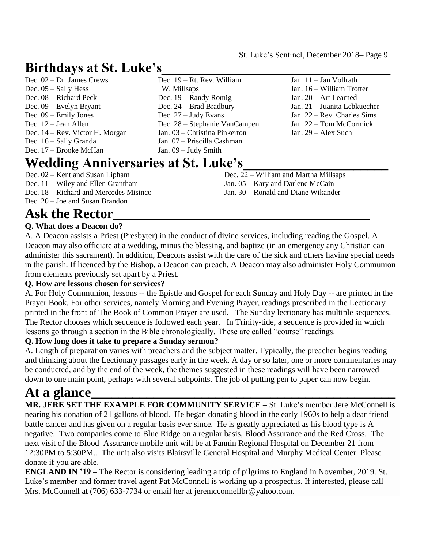## **Birthdays at St. Luke's\_\_\_\_\_\_\_\_\_\_\_\_\_\_\_\_\_\_\_\_\_\_\_\_\_\_\_\_\_\_\_\_\_**

| Dec. $02 - Dr$ . James Crews    |
|---------------------------------|
| Dec. $05 -$ Sally Hess          |
| Dec. $08 -$ Richard Peck        |
| Dec. $09$ – Evelyn Bryant       |
| Dec. $09 -$ Emily Jones         |
| Dec. $12 -$ Jean Allen          |
| Dec. 14 – Rev. Victor H. Morgan |
| Dec. 16 – Sally Granda          |
| Dec. 17 – Brooke McHan          |
|                                 |

Dec. 19 – Randy Romig Dec. 24 – Brad Bradbury Dec. 27 – Judy Evans Dec. 28 – Stephanie VanCampen Jan. 03 – Christina Pinkerton Jan. 07 – Priscilla Cashman Jan. 09 – Judy Smith

W. Millsaps

Dec. 19 – Rt. Rev. William

## **Wedding Anniversaries at St. Luke's\_\_\_\_\_\_\_\_\_\_\_\_\_\_\_\_\_\_\_\_\_**

- Dec. 02 Kent and Susan Lipham Dec. 11 – Wiley and Ellen Grantham
- Dec. 18 Richard and Mercedes Misinco
- Dec. 20 Joe and Susan Brandon
- Dec. 22 William and Martha Millsaps
- Jan. 11 Jan Vollrath Jan. 16 – William Trotter Jan. 20 – Art Learned Jan. 21 – Juanita Lebkuecher Jan. 22 – Rev. Charles Sims Jan. 22 – Tom McCormick Jan. 29 – Alex Such
- - Jan. 05 Kary and Darlene McCain Jan. 30 – Ronald and Diane Wikander

# **Ask the Rector\_\_\_\_\_\_\_\_\_\_\_\_\_\_\_\_\_\_\_\_\_\_\_\_\_\_\_\_\_\_\_\_\_\_\_\_\_**

#### **Q. What does a Deacon do?**

A. A Deacon assists a Priest (Presbyter) in the conduct of divine services, including reading the Gospel. A Deacon may also officiate at a wedding, minus the blessing, and baptize (in an emergency any Christian can administer this sacrament). In addition, Deacons assist with the care of the sick and others having special needs in the parish. If licenced by the Bishop, a Deacon can preach. A Deacon may also administer Holy Communion from elements previously set apart by a Priest.

#### **Q. How are lessons chosen for services?**

A. For Holy Communion, lessons -- the Epistle and Gospel for each Sunday and Holy Day -- are printed in the Prayer Book. For other services, namely Morning and Evening Prayer, readings prescribed in the Lectionary printed in the front of The Book of Common Prayer are used. The Sunday lectionary has multiple sequences. The Rector chooses which sequence is followed each year. In Trinity-tide, a sequence is provided in which lessons go through a section in the Bible chronologically. These are called "course" readings.

#### **Q. How long does it take to prepare a Sunday sermon?**

A. Length of preparation varies with preachers and the subject matter. Typically, the preacher begins reading and thinking about the Lectionary passages early in the week. A day or so later, one or more commentaries may be conducted, and by the end of the week, the themes suggested in these readings will have been narrowed down to one main point, perhaps with several subpoints. The job of putting pen to paper can now begin.

# **At a glance\_\_\_\_\_\_\_\_\_\_\_\_\_\_\_\_\_\_\_\_\_\_\_\_\_\_\_\_\_\_\_\_\_\_\_\_\_\_\_\_\_\_\_\_**

**MR. JERE SET THE EXAMPLE FOR COMMUNITY SERVICE –** St. Luke's member Jere McConnell is nearing his donation of 21 gallons of blood. He began donating blood in the early 1960s to help a dear friend battle cancer and has given on a regular basis ever since. He is greatly appreciated as his blood type is A negative. Two companies come to Blue Ridge on a regular basis, Blood Assurance and the Red Cross. The next visit of the Blood Assurance mobile unit will be at Fannin Regional Hospital on December 21 from 12:30PM to 5:30PM.. The unit also visits Blairsville General Hospital and Murphy Medical Center. Please donate if you are able.

**ENGLAND IN '19 –** The Rector is considering leading a trip of pilgrims to England in November, 2019. St. Luke's member and former travel agent Pat McConnell is working up a prospectus. If interested, please call Mrs. McConnell at (706) 633-7734 or email her at jeremcconnellbr@yahoo.com.